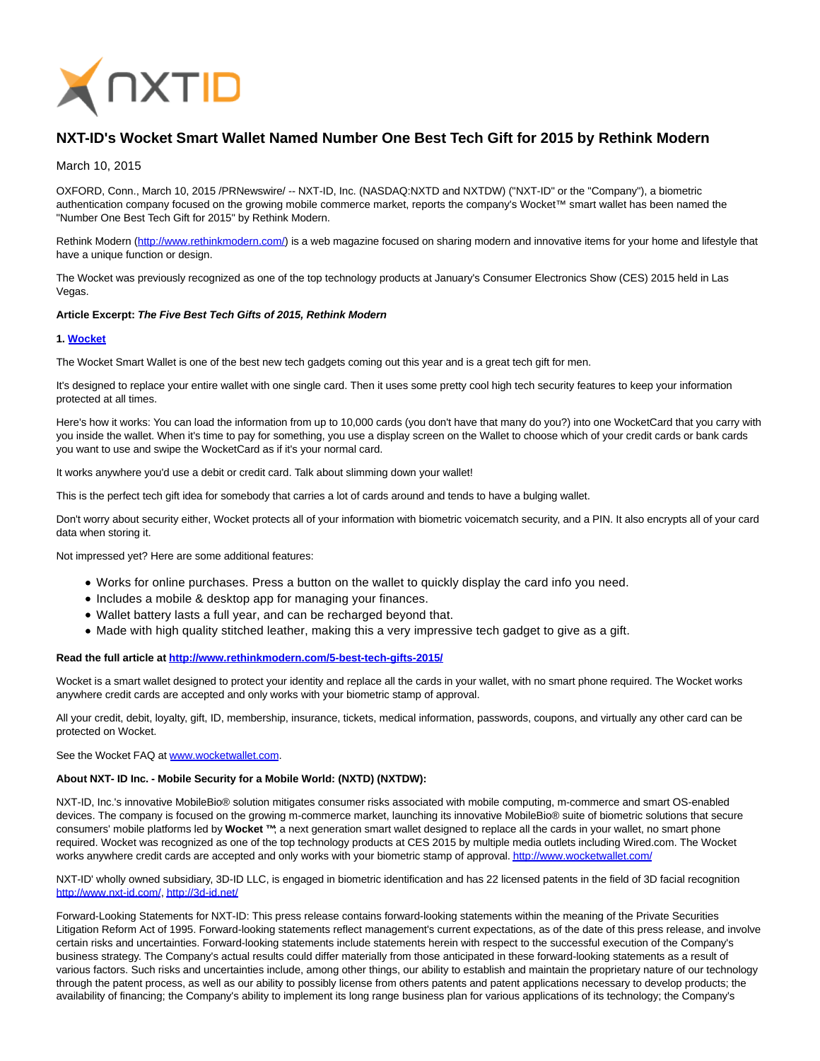

# **NXT-ID's Wocket Smart Wallet Named Number One Best Tech Gift for 2015 by Rethink Modern**

## March 10, 2015

OXFORD, Conn., March 10, 2015 /PRNewswire/ -- NXT-ID, Inc. (NASDAQ:NXTD and NXTDW) ("NXT-ID" or the "Company"), a biometric authentication company focused on the growing mobile commerce market, reports the company's Wocket™ smart wallet has been named the "Number One Best Tech Gift for 2015" by Rethink Modern.

Rethink Modern [\(http://www.rethinkmodern.com/\)](http://www.rethinkmodern.com/) is a web magazine focused on sharing modern and innovative items for your home and lifestyle that have a unique function or design.

The Wocket was previously recognized as one of the top technology products at January's Consumer Electronics Show (CES) 2015 held in Las Vegas.

#### **Article Excerpt: The Five Best Tech Gifts of 2015, Rethink Modern**

#### **1. [Wocket](http://wocketwallet.com/)**

The Wocket Smart Wallet is one of the best new tech gadgets coming out this year and is a great tech gift for men.

It's designed to replace your entire wallet with one single card. Then it uses some pretty cool high tech security features to keep your information protected at all times.

Here's how it works: You can load the information from up to 10,000 cards (you don't have that many do you?) into one WocketCard that you carry with you inside the wallet. When it's time to pay for something, you use a display screen on the Wallet to choose which of your credit cards or bank cards you want to use and swipe the WocketCard as if it's your normal card.

It works anywhere you'd use a debit or credit card. Talk about slimming down your wallet!

This is the perfect tech gift idea for somebody that carries a lot of cards around and tends to have a bulging wallet.

Don't worry about security either, Wocket protects all of your information with biometric voicematch security, and a PIN. It also encrypts all of your card data when storing it.

Not impressed yet? Here are some additional features:

- Works for online purchases. Press a button on the wallet to quickly display the card info you need.
- Includes a mobile & desktop app for managing your finances.
- Wallet battery lasts a full year, and can be recharged beyond that.
- Made with high quality stitched leather, making this a very impressive tech gadget to give as a gift.

### **Read the full article a[t http://www.rethinkmodern.com/5-best-tech-gifts-2015/](http://www.rethinkmodern.com/5-best-tech-gifts-2015/)**

Wocket is a smart wallet designed to protect your identity and replace all the cards in your wallet, with no smart phone required. The Wocket works anywhere credit cards are accepted and only works with your biometric stamp of approval.

All your credit, debit, loyalty, gift, ID, membership, insurance, tickets, medical information, passwords, coupons, and virtually any other card can be protected on Wocket.

See the Wocket FAQ at [www.wocketwallet.com.](http://www.wocketwallet.com/)

#### **About NXT- ID Inc. - Mobile Security for a Mobile World: (NXTD) (NXTDW):**

NXT-ID, Inc.'s innovative MobileBio® solution mitigates consumer risks associated with mobile computing, m-commerce and smart OS-enabled devices. The company is focused on the growing m-commerce market, launching its innovative MobileBio® suite of biometric solutions that secure consumers' mobile platforms led by **Wocket ™**; a next generation smart wallet designed to replace all the cards in your wallet, no smart phone required. Wocket was recognized as one of the top technology products at CES 2015 by multiple media outlets including Wired.com. The Wocket works anywhere credit cards are accepted and only works with your biometric stamp of approval[. http://www.wocketwallet.com/](http://www.wocketwallet.com/)

NXT-ID' wholly owned subsidiary, 3D-ID LLC, is engaged in biometric identification and has 22 licensed patents in the field of 3D facial recognition [http://www.nxt-id.com/,](http://www.nxt-id.com/)<http://3d-id.net/>

Forward-Looking Statements for NXT-ID: This press release contains forward-looking statements within the meaning of the Private Securities Litigation Reform Act of 1995. Forward-looking statements reflect management's current expectations, as of the date of this press release, and involve certain risks and uncertainties. Forward-looking statements include statements herein with respect to the successful execution of the Company's business strategy. The Company's actual results could differ materially from those anticipated in these forward-looking statements as a result of various factors. Such risks and uncertainties include, among other things, our ability to establish and maintain the proprietary nature of our technology through the patent process, as well as our ability to possibly license from others patents and patent applications necessary to develop products; the availability of financing; the Company's ability to implement its long range business plan for various applications of its technology; the Company's